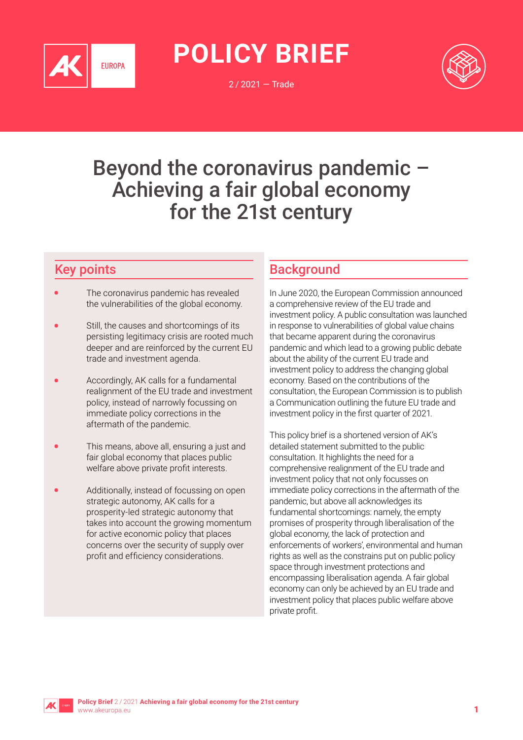

**POLICY BRIEF**

2 / 2021 — Trade



# Beyond the coronavirus pandemic – Achieving a fair global economy for the 21st century

# Key points

- The coronavirus pandemic has revealed the vulnerabilities of the global economy.
- Still, the causes and shortcomings of its persisting legitimacy crisis are rooted much deeper and are reinforced by the current EU trade and investment agenda.
- Accordingly, AK calls for a fundamental realignment of the EU trade and investment policy, instead of narrowly focussing on immediate policy corrections in the aftermath of the pandemic.
- This means, above all, ensuring a just and fair global economy that places public welfare above private profit interests.
- Additionally, instead of focussing on open strategic autonomy, AK calls for a prosperity-led strategic autonomy that takes into account the growing momentum for active economic policy that places concerns over the security of supply over profit and efficiency considerations.

# **Background**

In June 2020, the European Commission announced a comprehensive review of the EU trade and investment policy. A public consultation was launched in response to vulnerabilities of global value chains that became apparent during the coronavirus pandemic and which lead to a growing public debate about the ability of the current EU trade and investment policy to address the changing global economy. Based on the contributions of the consultation, the European Commission is to publish a Communication outlining the future EU trade and investment policy in the first quarter of 2021.

This policy brief is a shortened version of AK's detailed statement submitted to the public consultation. It highlights the need for a comprehensive realignment of the EU trade and investment policy that not only focusses on immediate policy corrections in the aftermath of the pandemic, but above all acknowledges its fundamental shortcomings: namely, the empty promises of prosperity through liberalisation of the global economy, the lack of protection and enforcements of workers', environmental and human rights as well as the constrains put on public policy space through investment protections and encompassing liberalisation agenda. A fair global economy can only be achieved by an EU trade and investment policy that places public welfare above private profit.

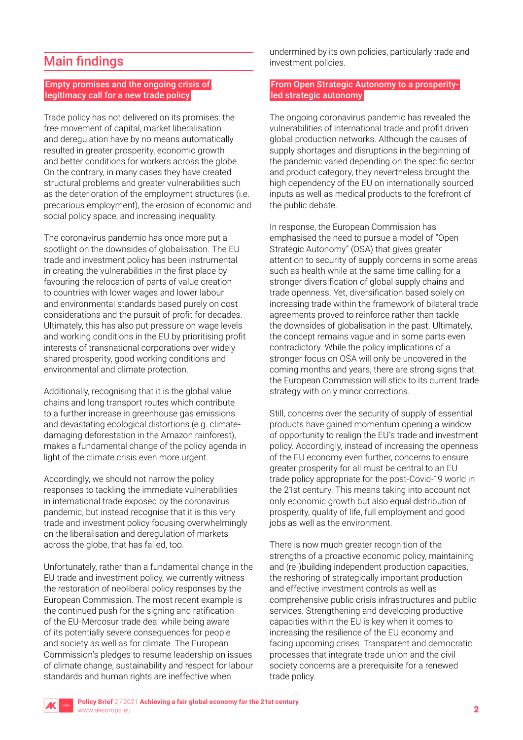# Main findings

#### Empty promises and the ongoing crisis of legitimacy call for a new trade policy

Trade policy has not delivered on its promises: the free movement of capital, market liberalisation and deregulation have by no means automatically resulted in greater prosperity, economic growth and better conditions for workers across the globe. On the contrary, in many cases they have created structural problems and greater vulnerabilities such as the deterioration of the employment structures (i.e. precarious employment), the erosion of economic and social policy space, and increasing inequality.

The coronavirus pandemic has once more put a spotlight on the downsides of globalisation. The EU trade and investment policy has been instrumental in creating the vulnerabilities in the first place by favouring the relocation of parts of value creation to countries with lower wages and lower labour and environmental standards based purely on cost considerations and the pursuit of profit for decades. Ultimately, this has also put pressure on wage levels and working conditions in the EU by prioritising profit interests of transnational corporations over widely shared prosperity, good working conditions and environmental and climate protection.

Additionally, recognising that it is the global value chains and long transport routes which contribute to a further increase in greenhouse gas emissions and devastating ecological distortions (e.g. climatedamaging deforestation in the Amazon rainforest), makes a fundamental change of the policy agenda in light of the climate crisis even more urgent.

Accordingly, we should not narrow the policy responses to tackling the immediate vulnerabilities in international trade exposed by the coronavirus pandemic, but instead recognise that it is this very trade and investment policy focusing overwhelmingly on the liberalisation and deregulation of markets across the globe, that has failed, too.

Unfortunately, rather than a fundamental change in the EU trade and investment policy, we currently witness the restoration of neoliberal policy responses by the European Commission. The most recent example is the continued push for the signing and ratification of the EU-Mercosur trade deal while being aware of its potentially severe consequences for people and society as well as for climate. The European Commission's pledges to resume leadership on issues of climate change, sustainability and respect for labour standards and human rights are ineffective when

undermined by its own policies, particularly trade and investment policies.

#### From Open Strategic Autonomy to a prosperityled strategic autonomy

The ongoing coronavirus pandemic has revealed the vulnerabilities of international trade and profit driven global production networks. Although the causes of supply shortages and disruptions in the beginning of the pandemic varied depending on the specific sector and product category, they nevertheless brought the high dependency of the EU on internationally sourced inputs as well as medical products to the forefront of the public debate.

In response, the European Commission has emphasised the need to pursue a model of "Open Strategic Autonomy" (OSA) that gives greater attention to security of supply concerns in some areas such as health while at the same time calling for a stronger diversification of global supply chains and trade openness. Yet, diversification based solely on increasing trade within the framework of bilateral trade agreements proved to reinforce rather than tackle the downsides of globalisation in the past. Ultimately, the concept remains vague and in some parts even contradictory. While the policy implications of a stronger focus on OSA will only be uncovered in the coming months and years, there are strong signs that the European Commission will stick to its current trade strategy with only minor corrections.

Still, concerns over the security of supply of essential products have gained momentum opening a window of opportunity to realign the EU's trade and investment policy. Accordingly, instead of increasing the openness of the EU economy even further, concerns to ensure greater prosperity for all must be central to an EU trade policy appropriate for the post-Covid-19 world in the 21st century. This means taking into account not only economic growth but also equal distribution of prosperity, quality of life, full employment and good jobs as well as the environment.

There is now much greater recognition of the strengths of a proactive economic policy, maintaining and (re-)building independent production capacities, the reshoring of strategically important production and effective investment controls as well as comprehensive public crisis infrastructures and public services. Strengthening and developing productive capacities within the EU is key when it comes to increasing the resilience of the EU economy and facing upcoming crises. Transparent and democratic processes that integrate trade union and the civil society concerns are a prerequisite for a renewed trade policy.

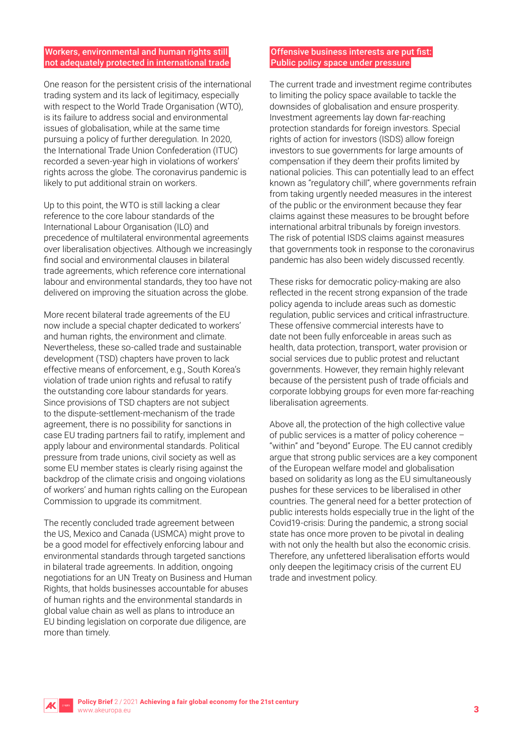#### Workers, environmental and human rights still not adequately protected in international trade

One reason for the persistent crisis of the international trading system and its lack of legitimacy, especially with respect to the World Trade Organisation (WTO), is its failure to address social and environmental issues of globalisation, while at the same time pursuing a policy of further deregulation. In 2020, the International Trade Union Confederation (ITUC) recorded a seven-year high in violations of workers' rights across the globe. The coronavirus pandemic is likely to put additional strain on workers.

Up to this point, the WTO is still lacking a clear reference to the core labour standards of the International Labour Organisation (ILO) and precedence of multilateral environmental agreements over liberalisation objectives. Although we increasingly find social and environmental clauses in bilateral trade agreements, which reference core international labour and environmental standards, they too have not delivered on improving the situation across the globe.

More recent bilateral trade agreements of the EU now include a special chapter dedicated to workers' and human rights, the environment and climate. Nevertheless, these so-called trade and sustainable development (TSD) chapters have proven to lack effective means of enforcement, e.g., South Korea's violation of trade union rights and refusal to ratify the outstanding core labour standards for years. Since provisions of TSD chapters are not subject to the dispute-settlement-mechanism of the trade agreement, there is no possibility for sanctions in case EU trading partners fail to ratify, implement and apply labour and environmental standards. Political pressure from trade unions, civil society as well as some EU member states is clearly rising against the backdrop of the climate crisis and ongoing violations of workers' and human rights calling on the European Commission to upgrade its commitment.

The recently concluded trade agreement between the US, Mexico and Canada (USMCA) might prove to be a good model for effectively enforcing labour and environmental standards through targeted sanctions in bilateral trade agreements. In addition, ongoing negotiations for an UN Treaty on Business and Human Rights, that holds businesses accountable for abuses of human rights and the environmental standards in global value chain as well as plans to introduce an EU binding legislation on corporate due diligence, are more than timely.

#### Offensive business interests are put fist: Public policy space under pressure

The current trade and investment regime contributes to limiting the policy space available to tackle the downsides of globalisation and ensure prosperity. Investment agreements lay down far-reaching protection standards for foreign investors. Special rights of action for investors (ISDS) allow foreign investors to sue governments for large amounts of compensation if they deem their profits limited by national policies. This can potentially lead to an effect known as "regulatory chill", where governments refrain from taking urgently needed measures in the interest of the public or the environment because they fear claims against these measures to be brought before international arbitral tribunals by foreign investors. The risk of potential ISDS claims against measures that governments took in response to the coronavirus pandemic has also been widely discussed recently.

These risks for democratic policy-making are also reflected in the recent strong expansion of the trade policy agenda to include areas such as domestic regulation, public services and critical infrastructure. These offensive commercial interests have to date not been fully enforceable in areas such as health, data protection, transport, water provision or social services due to public protest and reluctant governments. However, they remain highly relevant because of the persistent push of trade officials and corporate lobbying groups for even more far-reaching liberalisation agreements.

Above all, the protection of the high collective value of public services is a matter of policy coherence – "within" and "beyond" Europe. The EU cannot credibly argue that strong public services are a key component of the European welfare model and globalisation based on solidarity as long as the EU simultaneously pushes for these services to be liberalised in other countries. The general need for a better protection of public interests holds especially true in the light of the Covid19-crisis: During the pandemic, a strong social state has once more proven to be pivotal in dealing with not only the health but also the economic crisis. Therefore, any unfettered liberalisation efforts would only deepen the legitimacy crisis of the current EU trade and investment policy.